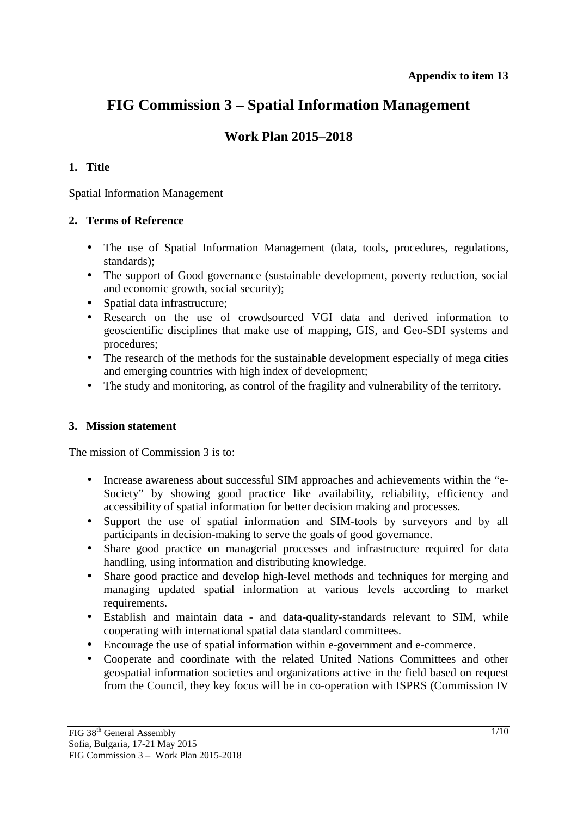# **FIG Commission 3 – Spatial Information Management**

# **Work Plan 2015–2018**

## **1. Title**

Spatial Information Management

## **2. Terms of Reference**

- The use of Spatial Information Management (data, tools, procedures, regulations, standards);
- The support of Good governance (sustainable development, poverty reduction, social and economic growth, social security);
- Spatial data infrastructure:
- Research on the use of crowdsourced VGI data and derived information to geoscientific disciplines that make use of mapping, GIS, and Geo-SDI systems and procedures;
- The research of the methods for the sustainable development especially of mega cities and emerging countries with high index of development;
- The study and monitoring, as control of the fragility and vulnerability of the territory.

## **3. Mission statement**

The mission of Commission 3 is to:

- Increase awareness about successful SIM approaches and achievements within the "e-Society" by showing good practice like availability, reliability, efficiency and accessibility of spatial information for better decision making and processes.
- Support the use of spatial information and SIM-tools by surveyors and by all participants in decision-making to serve the goals of good governance.
- Share good practice on managerial processes and infrastructure required for data handling, using information and distributing knowledge.
- Share good practice and develop high-level methods and techniques for merging and managing updated spatial information at various levels according to market requirements.
- Establish and maintain data and data-quality-standards relevant to SIM, while cooperating with international spatial data standard committees.
- Encourage the use of spatial information within e-government and e-commerce.
- Cooperate and coordinate with the related United Nations Committees and other geospatial information societies and organizations active in the field based on request from the Council, they key focus will be in co-operation with ISPRS (Commission IV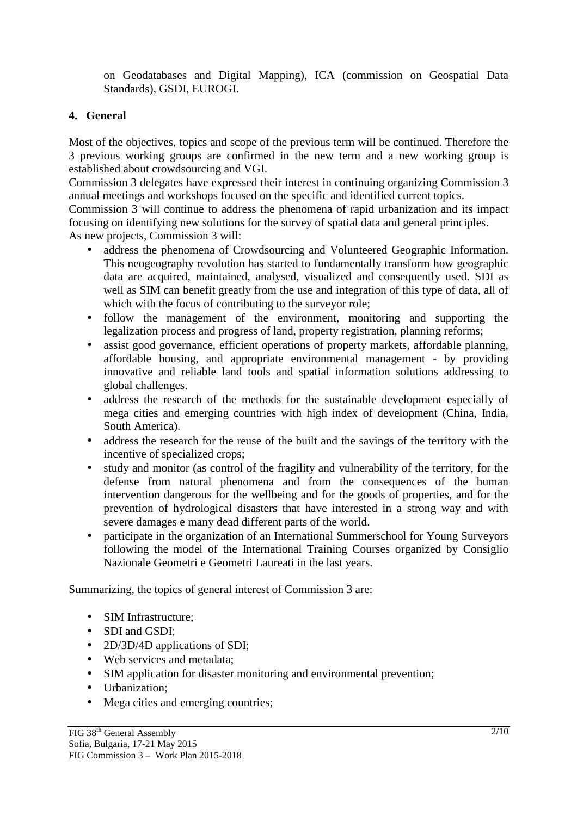on Geodatabases and Digital Mapping), ICA (commission on Geospatial Data Standards), GSDI, EUROGI.

# **4. General**

Most of the objectives, topics and scope of the previous term will be continued. Therefore the 3 previous working groups are confirmed in the new term and a new working group is established about crowdsourcing and VGI.

Commission 3 delegates have expressed their interest in continuing organizing Commission 3 annual meetings and workshops focused on the specific and identified current topics.

Commission 3 will continue to address the phenomena of rapid urbanization and its impact focusing on identifying new solutions for the survey of spatial data and general principles.

As new projects, Commission 3 will:

- address the phenomena of Crowdsourcing and Volunteered Geographic Information. This neogeography revolution has started to fundamentally transform how geographic data are acquired, maintained, analysed, visualized and consequently used. SDI as well as SIM can benefit greatly from the use and integration of this type of data, all of which with the focus of contributing to the surveyor role;
- follow the management of the environment, monitoring and supporting the legalization process and progress of land, property registration, planning reforms;
- assist good governance, efficient operations of property markets, affordable planning, affordable housing, and appropriate environmental management - by providing innovative and reliable land tools and spatial information solutions addressing to global challenges.
- address the research of the methods for the sustainable development especially of mega cities and emerging countries with high index of development (China, India, South America).
- address the research for the reuse of the built and the savings of the territory with the incentive of specialized crops;
- study and monitor (as control of the fragility and vulnerability of the territory, for the defense from natural phenomena and from the consequences of the human intervention dangerous for the wellbeing and for the goods of properties, and for the prevention of hydrological disasters that have interested in a strong way and with severe damages e many dead different parts of the world.
- participate in the organization of an International Summerschool for Young Surveyors following the model of the International Training Courses organized by Consiglio Nazionale Geometri e Geometri Laureati in the last years.

Summarizing, the topics of general interest of Commission 3 are:

- SIM Infrastructure;
- SDI and GSDI;
- 2D/3D/4D applications of SDI;
- Web services and metadata;
- SIM application for disaster monitoring and environmental prevention;
- Urbanization:
- Mega cities and emerging countries;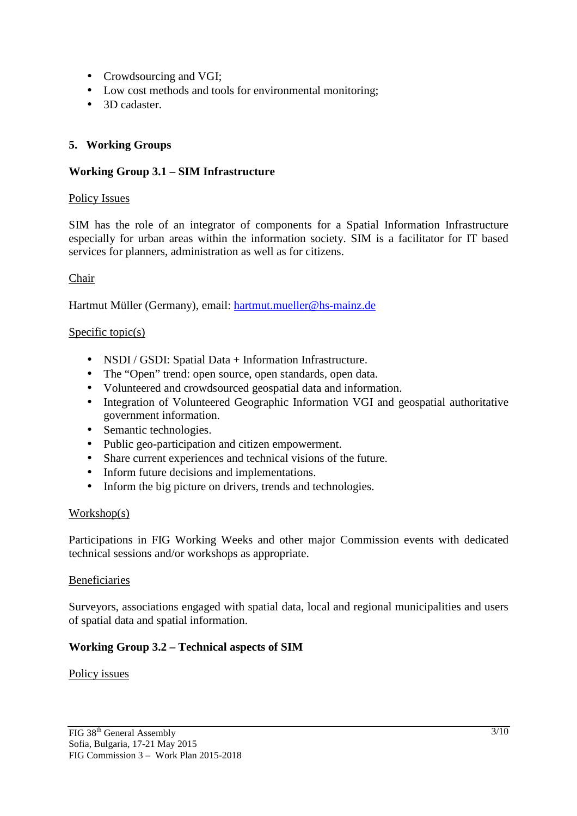- Crowdsourcing and VGI;
- Low cost methods and tools for environmental monitoring;
- 3D cadaster

## **5. Working Groups**

## **Working Group 3.1 – SIM Infrastructure**

#### Policy Issues

SIM has the role of an integrator of components for a Spatial Information Infrastructure especially for urban areas within the information society. SIM is a facilitator for IT based services for planners, administration as well as for citizens.

#### Chair

Hartmut Müller (Germany), email: hartmut.mueller@hs-mainz.de

#### Specific topic(s)

- NSDI / GSDI: Spatial Data + Information Infrastructure.
- The "Open" trend: open source, open standards, open data.
- Volunteered and crowdsourced geospatial data and information.
- Integration of Volunteered Geographic Information VGI and geospatial authoritative government information.
- Semantic technologies.
- Public geo-participation and citizen empowerment.
- Share current experiences and technical visions of the future.
- Inform future decisions and implementations.
- Inform the big picture on drivers, trends and technologies.

#### Workshop(s)

Participations in FIG Working Weeks and other major Commission events with dedicated technical sessions and/or workshops as appropriate.

#### Beneficiaries

Surveyors, associations engaged with spatial data, local and regional municipalities and users of spatial data and spatial information.

## **Working Group 3.2 – Technical aspects of SIM**

#### Policy issues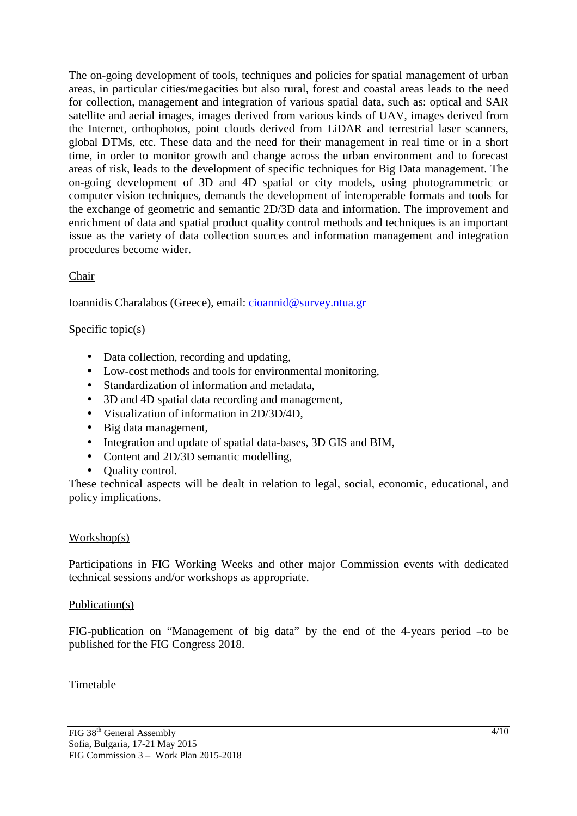The on-going development of tools, techniques and policies for spatial management of urban areas, in particular cities/megacities but also rural, forest and coastal areas leads to the need for collection, management and integration of various spatial data, such as: optical and SAR satellite and aerial images, images derived from various kinds of UAV, images derived from the Internet, orthophotos, point clouds derived from LiDAR and terrestrial laser scanners, global DTMs, etc. These data and the need for their management in real time or in a short time, in order to monitor growth and change across the urban environment and to forecast areas of risk, leads to the development of specific techniques for Big Data management. The on-going development of 3D and 4D spatial or city models, using photogrammetric or computer vision techniques, demands the development of interoperable formats and tools for the exchange of geometric and semantic 2D/3D data and information. The improvement and enrichment of data and spatial product quality control methods and techniques is an important issue as the variety of data collection sources and information management and integration procedures become wider.

## Chair

Ioannidis Charalabos (Greece), email: cioannid@survey.ntua.gr

## Specific topic(s)

- Data collection, recording and updating,
- Low-cost methods and tools for environmental monitoring,
- Standardization of information and metadata,
- 3D and 4D spatial data recording and management,
- Visualization of information in 2D/3D/4D,
- Big data management,
- Integration and update of spatial data-bases, 3D GIS and BIM,
- Content and 2D/3D semantic modelling,
- Ouality control.

These technical aspects will be dealt in relation to legal, social, economic, educational, and policy implications.

#### Workshop(s)

Participations in FIG Working Weeks and other major Commission events with dedicated technical sessions and/or workshops as appropriate.

#### Publication(s)

FIG-publication on "Management of big data" by the end of the 4-years period –to be published for the FIG Congress 2018.

#### Timetable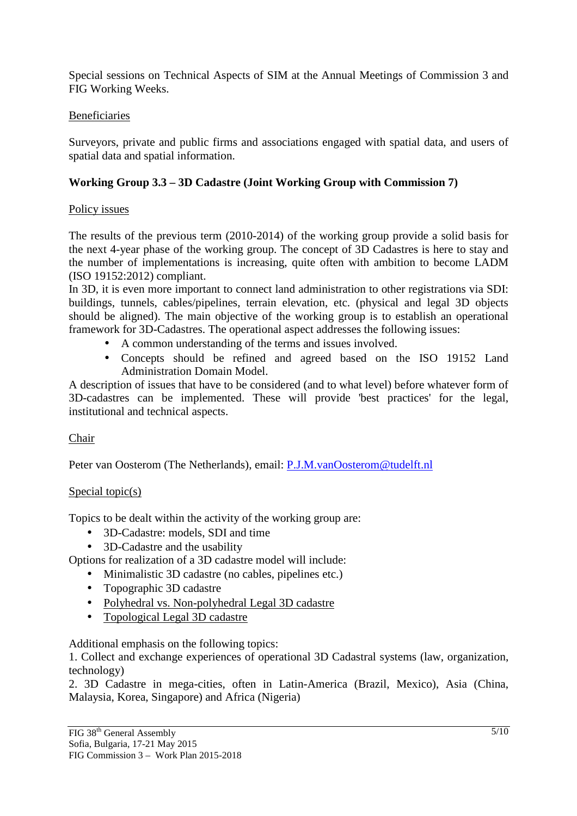Special sessions on Technical Aspects of SIM at the Annual Meetings of Commission 3 and FIG Working Weeks.

## Beneficiaries

Surveyors, private and public firms and associations engaged with spatial data, and users of spatial data and spatial information.

# **Working Group 3.3 – 3D Cadastre (Joint Working Group with Commission 7)**

## Policy issues

The results of the previous term (2010-2014) of the working group provide a solid basis for the next 4-year phase of the working group. The concept of 3D Cadastres is here to stay and the number of implementations is increasing, quite often with ambition to become LADM (ISO 19152:2012) compliant.

In 3D, it is even more important to connect land administration to other registrations via SDI: buildings, tunnels, cables/pipelines, terrain elevation, etc. (physical and legal 3D objects should be aligned). The main objective of the working group is to establish an operational framework for 3D-Cadastres. The operational aspect addresses the following issues:

- A common understanding of the terms and issues involved.
- Concepts should be refined and agreed based on the ISO 19152 Land Administration Domain Model.

A description of issues that have to be considered (and to what level) before whatever form of 3D-cadastres can be implemented. These will provide 'best practices' for the legal, institutional and technical aspects.

# Chair

Peter van Oosterom (The Netherlands), email: P.J.M.vanOosterom@tudelft.nl

## Special topic(s)

Topics to be dealt within the activity of the working group are:

- 3D-Cadastre: models, SDI and time
- 3D-Cadastre and the usability

Options for realization of a 3D cadastre model will include:

- Minimalistic 3D cadastre (no cables, pipelines etc.)
- Topographic 3D cadastre
- Polyhedral vs. Non-polyhedral Legal 3D cadastre
- Topological Legal 3D cadastre

Additional emphasis on the following topics:

1. Collect and exchange experiences of operational 3D Cadastral systems (law, organization, technology)

2. 3D Cadastre in mega-cities, often in Latin-America (Brazil, Mexico), Asia (China, Malaysia, Korea, Singapore) and Africa (Nigeria)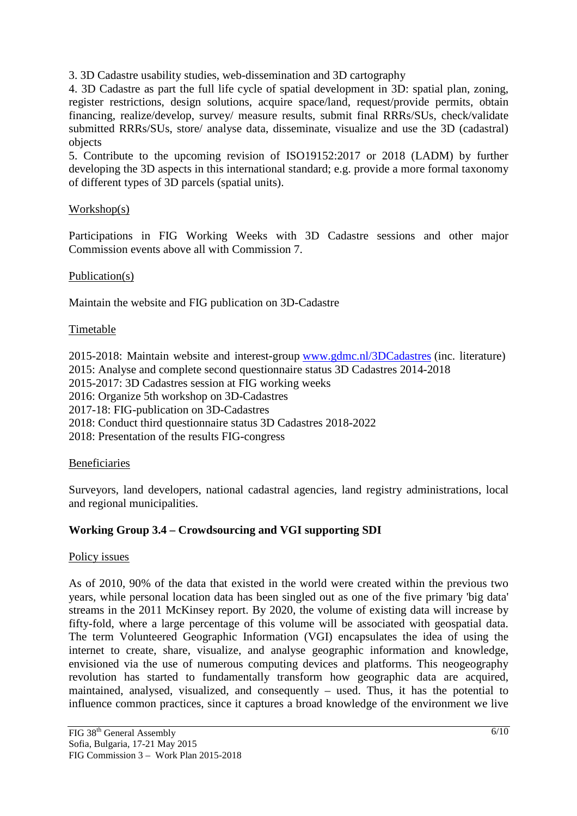3. 3D Cadastre usability studies, web-dissemination and 3D cartography

4. 3D Cadastre as part the full life cycle of spatial development in 3D: spatial plan, zoning, register restrictions, design solutions, acquire space/land, request/provide permits, obtain financing, realize/develop, survey/ measure results, submit final RRRs/SUs, check/validate submitted RRRs/SUs, store/ analyse data, disseminate, visualize and use the 3D (cadastral) objects

5. Contribute to the upcoming revision of ISO19152:2017 or 2018 (LADM) by further developing the 3D aspects in this international standard; e.g. provide a more formal taxonomy of different types of 3D parcels (spatial units).

## Workshop(s)

Participations in FIG Working Weeks with 3D Cadastre sessions and other major Commission events above all with Commission 7.

#### Publication(s)

Maintain the website and FIG publication on 3D-Cadastre

## Timetable

2015-2018: Maintain website and interest-group www.gdmc.nl/3DCadastres (inc. literature) 2015: Analyse and complete second questionnaire status 3D Cadastres 2014-2018 2015-2017: 3D Cadastres session at FIG working weeks 2016: Organize 5th workshop on 3D-Cadastres

2017-18: FIG-publication on 3D-Cadastres

2018: Conduct third questionnaire status 3D Cadastres 2018-2022

2018: Presentation of the results FIG-congress

#### Beneficiaries

Surveyors, land developers, national cadastral agencies, land registry administrations, local and regional municipalities.

## **Working Group 3.4 – Crowdsourcing and VGI supporting SDI**

#### Policy issues

As of 2010, 90% of the data that existed in the world were created within the previous two years, while personal location data has been singled out as one of the five primary 'big data' streams in the 2011 McKinsey report. By 2020, the volume of existing data will increase by fifty-fold, where a large percentage of this volume will be associated with geospatial data. The term Volunteered Geographic Information (VGI) encapsulates the idea of using the internet to create, share, visualize, and analyse geographic information and knowledge, envisioned via the use of numerous computing devices and platforms. This neogeography revolution has started to fundamentally transform how geographic data are acquired, maintained, analysed, visualized, and consequently – used. Thus, it has the potential to influence common practices, since it captures a broad knowledge of the environment we live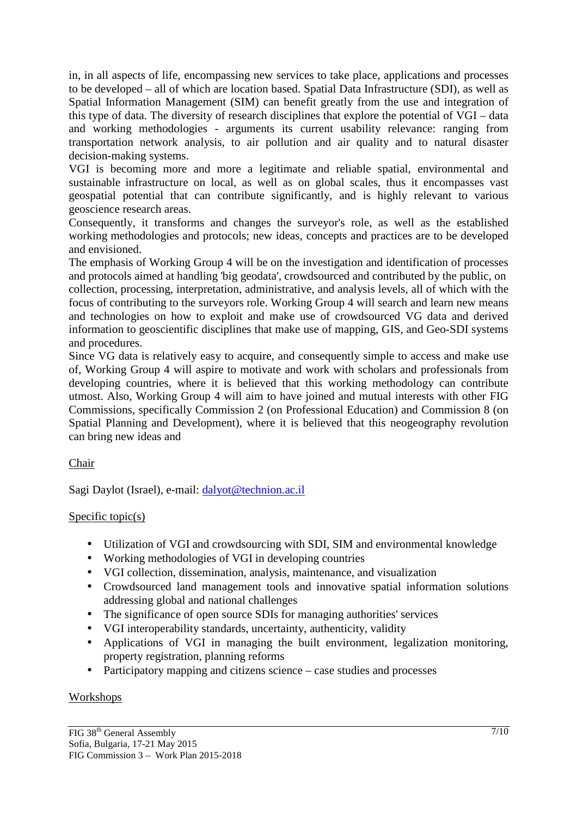in, in all aspects of life, encompassing new services to take place, applications and processes to be developed – all of which are location based. Spatial Data Infrastructure (SDI), as well as Spatial Information Management (SIM) can benefit greatly from the use and integration of this type of data. The diversity of research disciplines that explore the potential of VGI – data and working methodologies - arguments its current usability relevance: ranging from transportation network analysis, to air pollution and air quality and to natural disaster decision-making systems.

VGI is becoming more and more a legitimate and reliable spatial, environmental and sustainable infrastructure on local, as well as on global scales, thus it encompasses vast geospatial potential that can contribute significantly, and is highly relevant to various geoscience research areas.

Consequently, it transforms and changes the surveyor's role, as well as the established working methodologies and protocols; new ideas, concepts and practices are to be developed and envisioned.

The emphasis of Working Group 4 will be on the investigation and identification of processes and protocols aimed at handling 'big geodata', crowdsourced and contributed by the public, on collection, processing, interpretation, administrative, and analysis levels, all of which with the focus of contributing to the surveyors role. Working Group 4 will search and learn new means and technologies on how to exploit and make use of crowdsourced VG data and derived information to geoscientific disciplines that make use of mapping, GIS, and Geo-SDI systems and procedures.

Since VG data is relatively easy to acquire, and consequently simple to access and make use of, Working Group 4 will aspire to motivate and work with scholars and professionals from developing countries, where it is believed that this working methodology can contribute utmost. Also, Working Group 4 will aim to have joined and mutual interests with other FIG Commissions, specifically Commission 2 (on Professional Education) and Commission 8 (on Spatial Planning and Development), where it is believed that this neogeography revolution can bring new ideas and

Chair

Sagi Daylot (Israel), e-mail: dalyot@technion.ac.il

# Specific  $topic(s)$

- Utilization of VGI and crowdsourcing with SDI, SIM and environmental knowledge
- Working methodologies of VGI in developing countries
- VGI collection, dissemination, analysis, maintenance, and visualization
- Crowdsourced land management tools and innovative spatial information solutions addressing global and national challenges
- The significance of open source SDIs for managing authorities' services
- VGI interoperability standards, uncertainty, authenticity, validity
- Applications of VGI in managing the built environment, legalization monitoring, property registration, planning reforms
- Participatory mapping and citizens science case studies and processes

## **Workshops**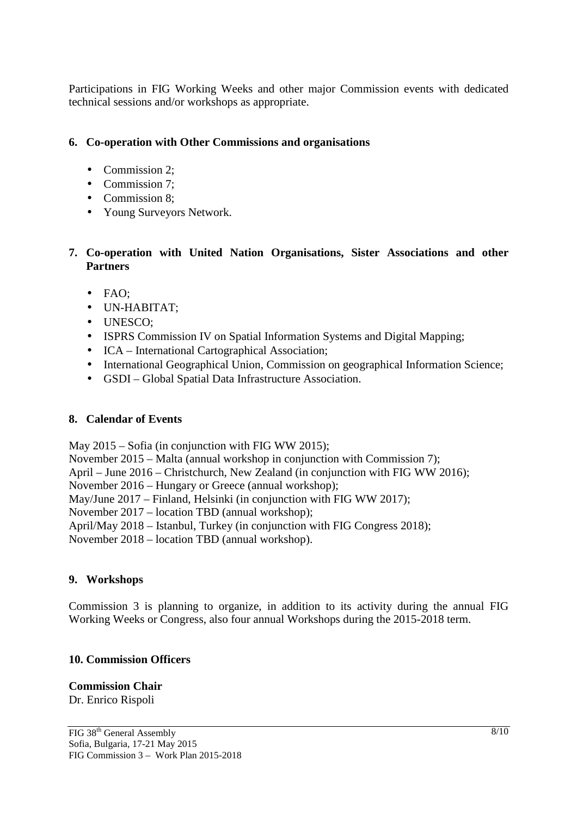Participations in FIG Working Weeks and other major Commission events with dedicated technical sessions and/or workshops as appropriate.

# **6. Co-operation with Other Commissions and organisations**

- Commission 2;
- Commission 7;
- Commission 8:
- Young Surveyors Network.

# **7. Co-operation with United Nation Organisations, Sister Associations and other Partners**

- FAO;
- UN-HABITAT;
- UNESCO;
- ISPRS Commission IV on Spatial Information Systems and Digital Mapping;
- ICA International Cartographical Association;
- International Geographical Union, Commission on geographical Information Science;
- GSDI Global Spatial Data Infrastructure Association.

# **8. Calendar of Events**

May 2015 – Sofia (in conjunction with FIG WW 2015);

November 2015 – Malta (annual workshop in conjunction with Commission 7);

April – June 2016 – Christchurch, New Zealand (in conjunction with FIG WW 2016);

November 2016 – Hungary or Greece (annual workshop);

May/June 2017 – Finland, Helsinki (in conjunction with FIG WW 2017);

November 2017 – location TBD (annual workshop);

April/May 2018 – Istanbul, Turkey (in conjunction with FIG Congress 2018);

November 2018 – location TBD (annual workshop).

# **9. Workshops**

Commission 3 is planning to organize, in addition to its activity during the annual FIG Working Weeks or Congress, also four annual Workshops during the 2015-2018 term.

# **10. Commission Officers**

# **Commission Chair**

Dr. Enrico Rispoli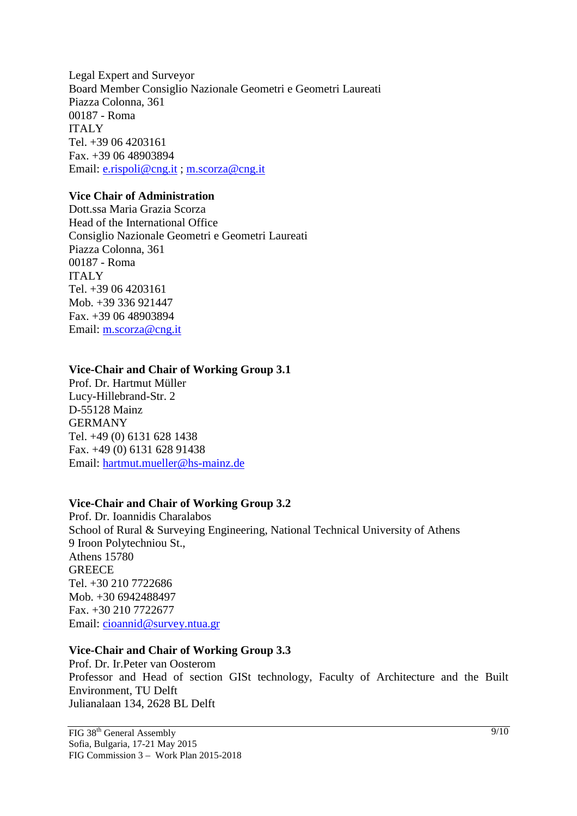Legal Expert and Surveyor Board Member Consiglio Nazionale Geometri e Geometri Laureati Piazza Colonna, 361 00187 - Roma ITALY Tel. +39 06 4203161 Fax. +39 06 48903894 Email: e.rispoli@cng.it ; m.scorza@cng.it

#### **Vice Chair of Administration**

Dott.ssa Maria Grazia Scorza Head of the International Office Consiglio Nazionale Geometri e Geometri Laureati Piazza Colonna, 361 00187 - Roma ITALY Tel. +39 06 4203161 Mob. +39 336 921447 Fax. +39 06 48903894 Email: m.scorza@cng.it

#### **Vice-Chair and Chair of Working Group 3.1**

Prof. Dr. Hartmut Müller Lucy-Hillebrand-Str. 2 D-55128 Mainz GERMANY Tel. +49 (0) 6131 628 1438 Fax. +49 (0) 6131 628 91438 Email: hartmut.mueller@hs-mainz.de

## **Vice-Chair and Chair of Working Group 3.2**

Prof. Dr. Ioannidis Charalabos School of Rural & Surveying Engineering, National Technical University of Athens 9 Iroon Polytechniou St., Athens 15780 **GREECE** Tel. +30 210 7722686 Mob. +30 6942488497 Fax. +30 210 7722677 Email: cioannid@survey.ntua.gr

#### **Vice-Chair and Chair of Working Group 3.3**

Prof. Dr. Ir.Peter van Oosterom Professor and Head of section GISt technology, Faculty of Architecture and the Built Environment, TU Delft Julianalaan 134, 2628 BL Delft